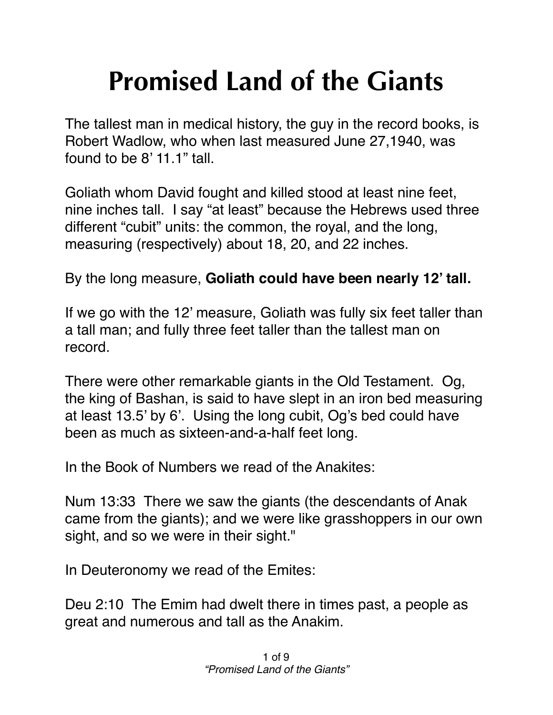## **Promised Land of the Giants**

The tallest man in medical history, the guy in the record books, is Robert Wadlow, who when last measured June 27,1940, was found to be 8' 11.1" tall.

Goliath whom David fought and killed stood at least nine feet, nine inches tall. I say "at least" because the Hebrews used three different "cubit" units: the common, the royal, and the long, measuring (respectively) about 18, 20, and 22 inches.

By the long measure, **Goliath could have been nearly 12' tall.**

If we go with the 12' measure, Goliath was fully six feet taller than a tall man; and fully three feet taller than the tallest man on record.

There were other remarkable giants in the Old Testament. Og, the king of Bashan, is said to have slept in an iron bed measuring at least 13.5' by 6'. Using the long cubit, Og's bed could have been as much as sixteen-and-a-half feet long.

In the Book of Numbers we read of the Anakites:

Num 13:33 There we saw the giants (the descendants of Anak came from the giants); and we were like grasshoppers in our own sight, and so we were in their sight."

In Deuteronomy we read of the Emites:

Deu 2:10 The Emim had dwelt there in times past, a people as great and numerous and tall as the Anakim.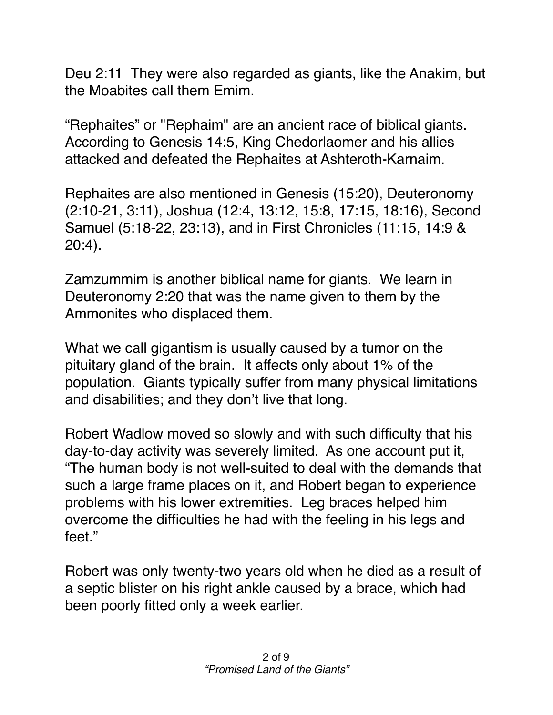Deu 2:11 They were also regarded as giants, like the Anakim, but the Moabites call them Emim.

"Rephaites" or "Rephaim" are an ancient race of biblical giants. According to Genesis 14:5, King Chedorlaomer and his allies attacked and defeated the Rephaites at Ashteroth-Karnaim.

Rephaites are also mentioned in Genesis (15:20), Deuteronomy (2:10-21, 3:11), Joshua (12:4, 13:12, 15:8, 17:15, 18:16), Second Samuel (5:18-22, 23:13), and in First Chronicles (11:15, 14:9 & 20:4).

Zamzummim is another biblical name for giants. We learn in Deuteronomy 2:20 that was the name given to them by the Ammonites who displaced them.

What we call gigantism is usually caused by a tumor on the pituitary gland of the brain. It affects only about 1% of the population. Giants typically suffer from many physical limitations and disabilities; and they don't live that long.

Robert Wadlow moved so slowly and with such difficulty that his day-to-day activity was severely limited. As one account put it, "The human body is not well-suited to deal with the demands that such a large frame places on it, and Robert began to experience problems with his lower extremities. Leg braces helped him overcome the difficulties he had with the feeling in his legs and feet."

Robert was only twenty-two years old when he died as a result of a septic blister on his right ankle caused by a brace, which had been poorly fitted only a week earlier.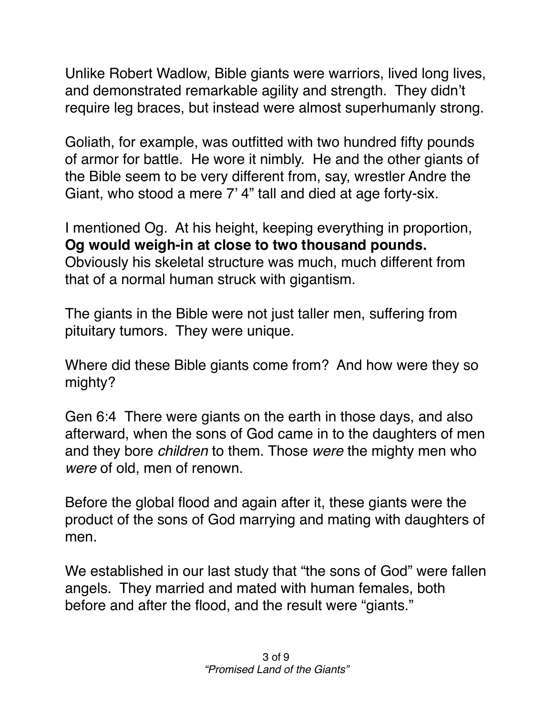Unlike Robert Wadlow, Bible giants were warriors, lived long lives, and demonstrated remarkable agility and strength. They didn't require leg braces, but instead were almost superhumanly strong.

Goliath, for example, was outfitted with two hundred fifty pounds of armor for battle. He wore it nimbly. He and the other giants of the Bible seem to be very different from, say, wrestler Andre the Giant, who stood a mere 7' 4" tall and died at age forty-six.

I mentioned Og. At his height, keeping everything in proportion, **Og would weigh-in at close to two thousand pounds.** Obviously his skeletal structure was much, much different from that of a normal human struck with gigantism.

The giants in the Bible were not just taller men, suffering from pituitary tumors. They were unique.

Where did these Bible giants come from? And how were they so mighty?

Gen 6:4 There were giants on the earth in those days, and also afterward, when the sons of God came in to the daughters of men and they bore *children* to them. Those *were* the mighty men who *were* of old, men of renown.

Before the global flood and again after it, these giants were the product of the sons of God marrying and mating with daughters of men.

We established in our last study that "the sons of God" were fallen angels. They married and mated with human females, both before and after the flood, and the result were "giants."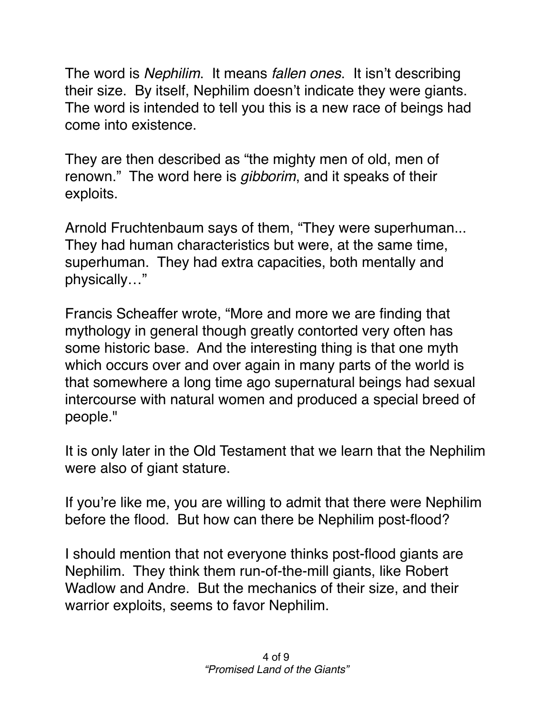The word is *Nephilim*. It means *fallen ones*. It isn't describing their size. By itself, Nephilim doesn't indicate they were giants. The word is intended to tell you this is a new race of beings had come into existence.

They are then described as "the mighty men of old, men of renown." The word here is *gibborim*, and it speaks of their exploits.

Arnold Fruchtenbaum says of them, "They were superhuman... They had human characteristics but were, at the same time, superhuman. They had extra capacities, both mentally and physically…"

Francis Scheaffer wrote, "More and more we are finding that mythology in general though greatly contorted very often has some historic base. And the interesting thing is that one myth which occurs over and over again in many parts of the world is that somewhere a long time ago supernatural beings had sexual intercourse with natural women and produced a special breed of people."

It is only later in the Old Testament that we learn that the Nephilim were also of giant stature.

If you're like me, you are willing to admit that there were Nephilim before the flood. But how can there be Nephilim post-flood?

I should mention that not everyone thinks post-flood giants are Nephilim. They think them run-of-the-mill giants, like Robert Wadlow and Andre. But the mechanics of their size, and their warrior exploits, seems to favor Nephilim.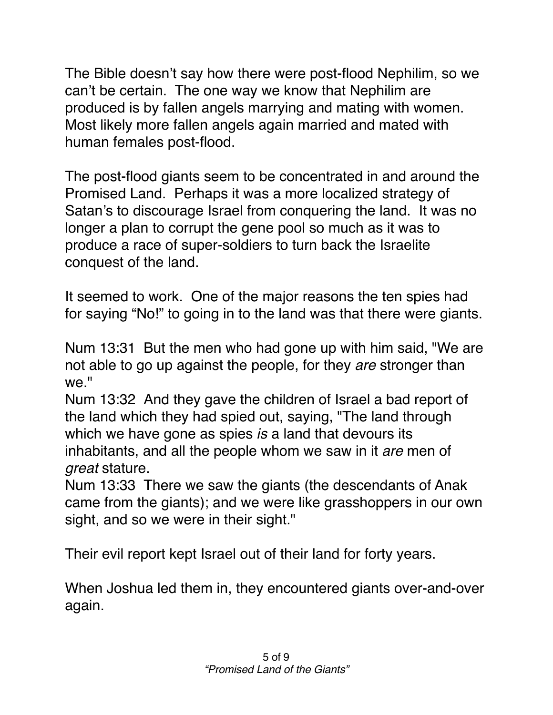The Bible doesn't say how there were post-flood Nephilim, so we can't be certain. The one way we know that Nephilim are produced is by fallen angels marrying and mating with women. Most likely more fallen angels again married and mated with human females post-flood.

The post-flood giants seem to be concentrated in and around the Promised Land. Perhaps it was a more localized strategy of Satan's to discourage Israel from conquering the land. It was no longer a plan to corrupt the gene pool so much as it was to produce a race of super-soldiers to turn back the Israelite conquest of the land.

It seemed to work. One of the major reasons the ten spies had for saying "No!" to going in to the land was that there were giants.

Num 13:31 But the men who had gone up with him said, "We are not able to go up against the people, for they *are* stronger than we."

Num 13:32 And they gave the children of Israel a bad report of the land which they had spied out, saying, "The land through which we have gone as spies *is* a land that devours its inhabitants, and all the people whom we saw in it *are* men of *great* stature.

Num 13:33 There we saw the giants (the descendants of Anak came from the giants); and we were like grasshoppers in our own sight, and so we were in their sight."

Their evil report kept Israel out of their land for forty years.

When Joshua led them in, they encountered giants over-and-over again.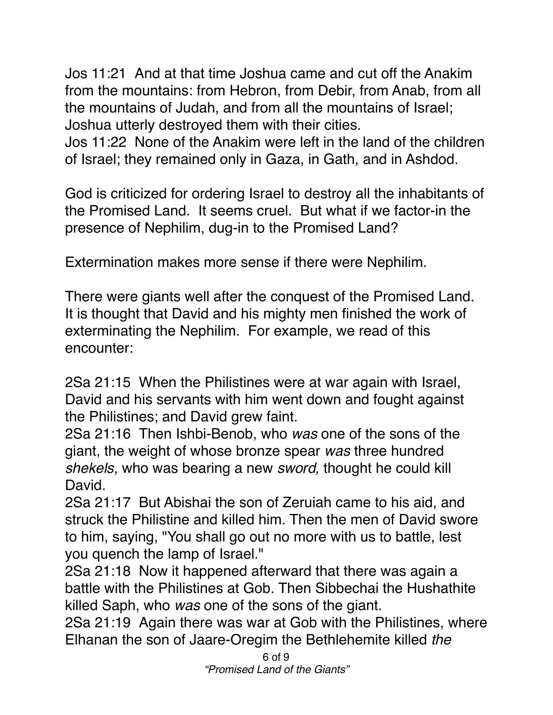Jos 11:21 And at that time Joshua came and cut off the Anakim from the mountains: from Hebron, from Debir, from Anab, from all the mountains of Judah, and from all the mountains of Israel; Joshua utterly destroyed them with their cities.

Jos 11:22 None of the Anakim were left in the land of the children of Israel; they remained only in Gaza, in Gath, and in Ashdod.

God is criticized for ordering Israel to destroy all the inhabitants of the Promised Land. It seems cruel. But what if we factor-in the presence of Nephilim, dug-in to the Promised Land?

Extermination makes more sense if there were Nephilim.

There were giants well after the conquest of the Promised Land. It is thought that David and his mighty men finished the work of exterminating the Nephilim. For example, we read of this encounter:

2Sa 21:15 When the Philistines were at war again with Israel, David and his servants with him went down and fought against the Philistines; and David grew faint.

2Sa 21:16 Then Ishbi-Benob, who *was* one of the sons of the giant, the weight of whose bronze spear *was* three hundred *shekels,* who was bearing a new *sword,* thought he could kill David.

2Sa 21:17 But Abishai the son of Zeruiah came to his aid, and struck the Philistine and killed him. Then the men of David swore to him, saying, "You shall go out no more with us to battle, lest you quench the lamp of Israel."

2Sa 21:18 Now it happened afterward that there was again a battle with the Philistines at Gob. Then Sibbechai the Hushathite killed Saph, who *was* one of the sons of the giant.

2Sa 21:19 Again there was war at Gob with the Philistines, where Elhanan the son of Jaare-Oregim the Bethlehemite killed *the*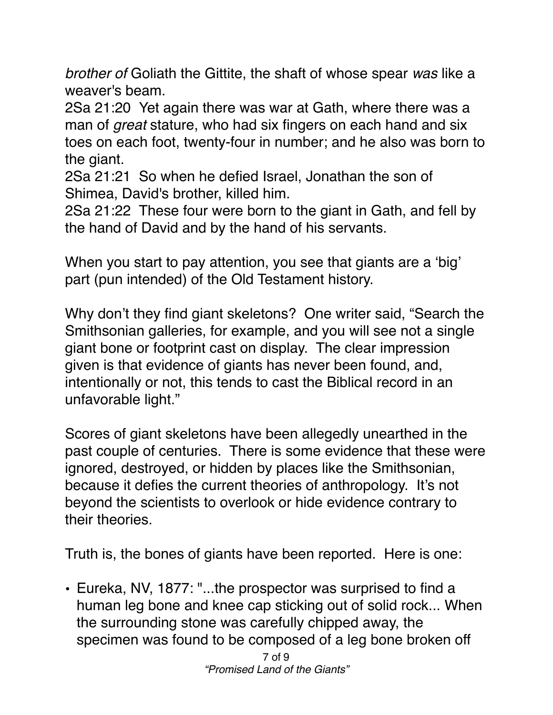*brother of* Goliath the Gittite, the shaft of whose spear *was* like a weaver's beam.

2Sa 21:20 Yet again there was war at Gath, where there was a man of *great* stature, who had six fingers on each hand and six toes on each foot, twenty-four in number; and he also was born to the giant.

2Sa 21:21 So when he defied Israel, Jonathan the son of Shimea, David's brother, killed him.

2Sa 21:22 These four were born to the giant in Gath, and fell by the hand of David and by the hand of his servants.

When you start to pay attention, you see that giants are a 'big' part (pun intended) of the Old Testament history.

Why don't they find giant skeletons? One writer said, "Search the Smithsonian galleries, for example, and you will see not a single giant bone or footprint cast on display. The clear impression given is that evidence of giants has never been found, and, intentionally or not, this tends to cast the Biblical record in an unfavorable light."

Scores of giant skeletons have been allegedly unearthed in the past couple of centuries. There is some evidence that these were ignored, destroyed, or hidden by places like the Smithsonian, because it defies the current theories of anthropology. It's not beyond the scientists to overlook or hide evidence contrary to their theories.

Truth is, the bones of giants have been reported. Here is one:

• Eureka, NV, 1877: "...the prospector was surprised to find a human leg bone and knee cap sticking out of solid rock... When the surrounding stone was carefully chipped away, the specimen was found to be composed of a leg bone broken off

> 7 of 9 *"Promised Land of the Giants"*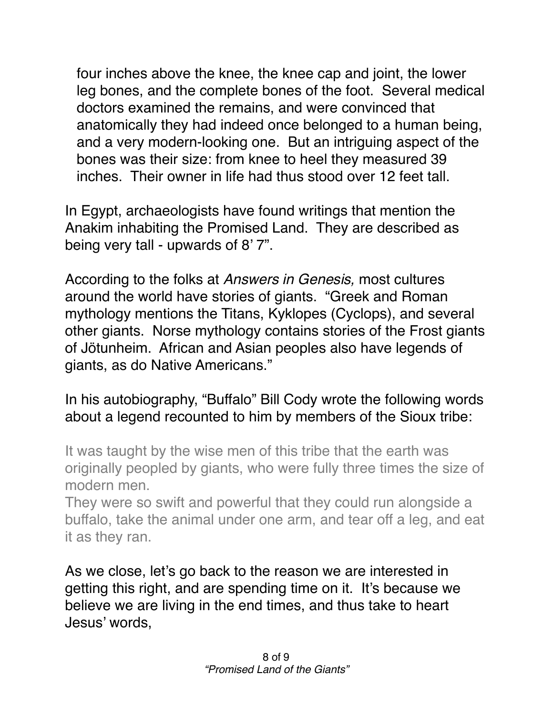four inches above the knee, the knee cap and joint, the lower leg bones, and the complete bones of the foot. Several medical doctors examined the remains, and were convinced that anatomically they had indeed once belonged to a human being, and a very modern-looking one. But an intriguing aspect of the bones was their size: from knee to heel they measured 39 inches. Their owner in life had thus stood over 12 feet tall.

In Egypt, archaeologists have found writings that mention the Anakim inhabiting the Promised Land. They are described as being very tall - upwards of 8' 7".

According to the folks at *Answers in Genesis,* most cultures around the world have stories of giants. "Greek and Roman mythology mentions the Titans, Kyklopes (Cyclops), and several other giants. Norse mythology contains stories of the Frost giants of Jötunheim. African and Asian peoples also have legends of giants, as do Native Americans."

## In his autobiography, "Buffalo" Bill Cody wrote the following words about a legend recounted to him by members of the Sioux tribe:

It was taught by the wise men of this tribe that the earth was originally peopled by giants, who were fully three times the size of modern men.

They were so swift and powerful that they could run alongside a buffalo, take the animal under one arm, and tear off a leg, and eat it as they ran.

As we close, let's go back to the reason we are interested in getting this right, and are spending time on it. It's because we believe we are living in the end times, and thus take to heart Jesus' words,